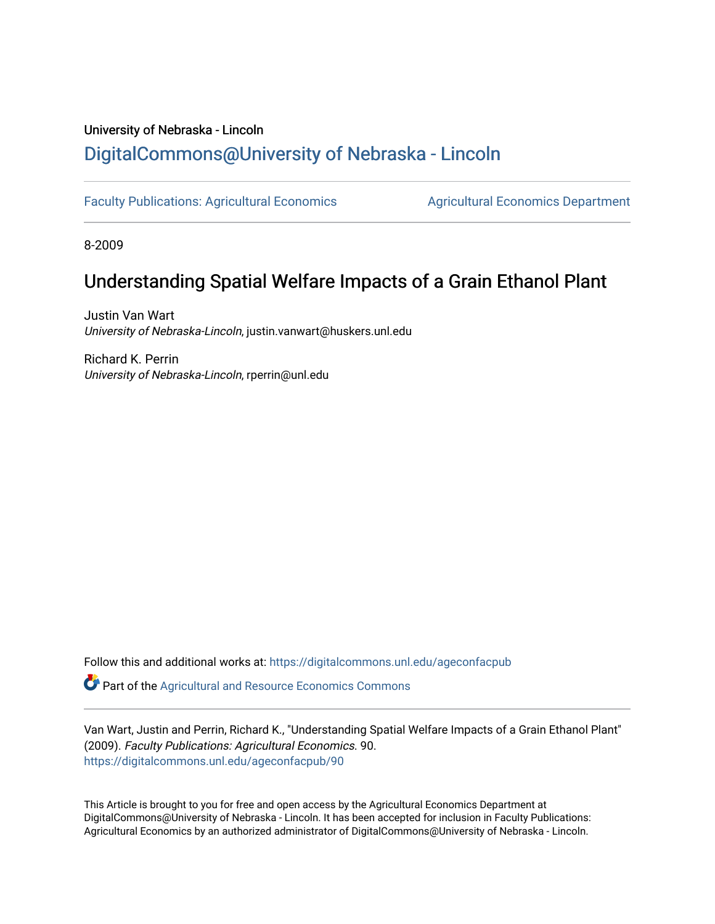# University of Nebraska - Lincoln [DigitalCommons@University of Nebraska - Lincoln](https://digitalcommons.unl.edu/)

[Faculty Publications: Agricultural Economics](https://digitalcommons.unl.edu/ageconfacpub) [Agricultural Economics Department](https://digitalcommons.unl.edu/ag_econ) 

8-2009

# Understanding Spatial Welfare Impacts of a Grain Ethanol Plant

Justin Van Wart University of Nebraska-Lincoln, justin.vanwart@huskers.unl.edu

Richard K. Perrin University of Nebraska-Lincoln, rperrin@unl.edu

Follow this and additional works at: [https://digitalcommons.unl.edu/ageconfacpub](https://digitalcommons.unl.edu/ageconfacpub?utm_source=digitalcommons.unl.edu%2Fageconfacpub%2F90&utm_medium=PDF&utm_campaign=PDFCoverPages)

Part of the [Agricultural and Resource Economics Commons](http://network.bepress.com/hgg/discipline/317?utm_source=digitalcommons.unl.edu%2Fageconfacpub%2F90&utm_medium=PDF&utm_campaign=PDFCoverPages) 

Van Wart, Justin and Perrin, Richard K., "Understanding Spatial Welfare Impacts of a Grain Ethanol Plant" (2009). Faculty Publications: Agricultural Economics. 90. [https://digitalcommons.unl.edu/ageconfacpub/90](https://digitalcommons.unl.edu/ageconfacpub/90?utm_source=digitalcommons.unl.edu%2Fageconfacpub%2F90&utm_medium=PDF&utm_campaign=PDFCoverPages) 

This Article is brought to you for free and open access by the Agricultural Economics Department at DigitalCommons@University of Nebraska - Lincoln. It has been accepted for inclusion in Faculty Publications: Agricultural Economics by an authorized administrator of DigitalCommons@University of Nebraska - Lincoln.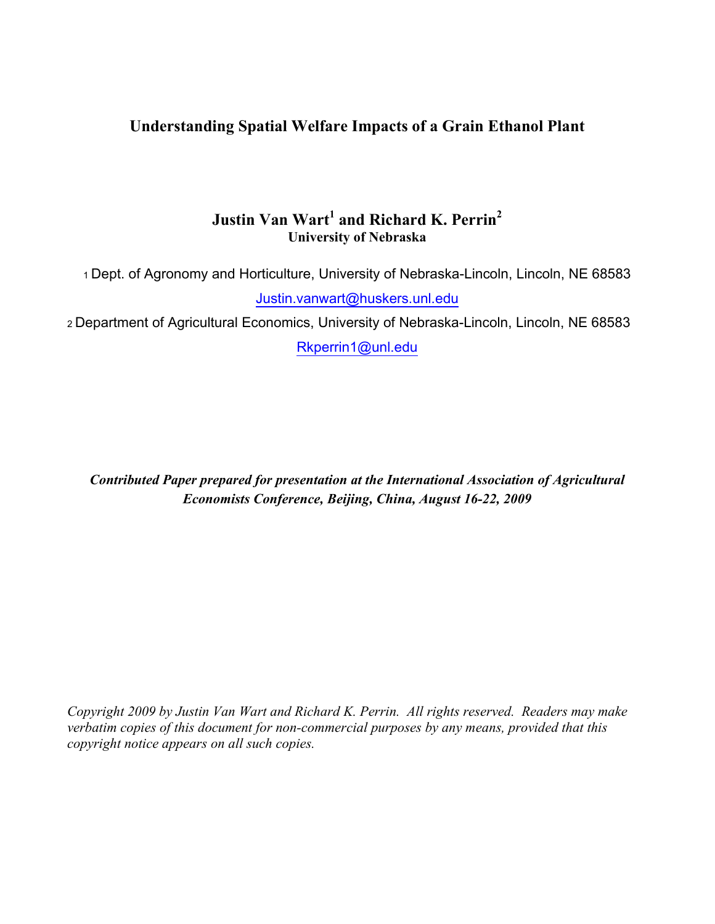## **Understanding Spatial Welfare Impacts of a Grain Ethanol Plant**

## **Justin Van Wart<sup>1</sup> and Richard K. Perrin<sup>2</sup> University of Nebraska**

<sup>1</sup>Dept. of Agronomy and Horticulture, University of Nebraska-Lincoln, Lincoln, NE 68583 Justin.vanwart@huskers.unl.edu

<sup>2</sup>Department of Agricultural Economics, University of Nebraska-Lincoln, Lincoln, NE 68583 Rkperrin1@unl.edu

*Contributed Paper prepared for presentation at the International Association of Agricultural Economists Conference, Beijing, China, August 16-22, 2009*

*Copyright 2009 by Justin Van Wart and Richard K. Perrin. All rights reserved. Readers may make verbatim copies of this document for non-commercial purposes by any means, provided that this copyright notice appears on all such copies.*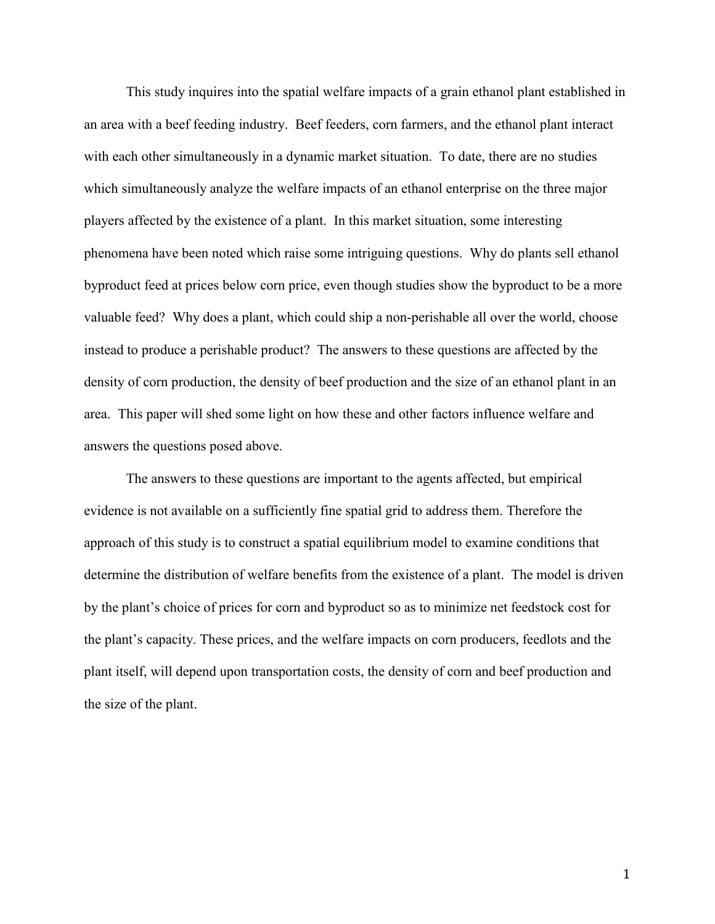This study inquires into the spatial welfare impacts of a grain ethanol plant established in an area with a beef feeding industry. Beef feeders, corn farmers, and the ethanol plant interact with each other simultaneously in a dynamic market situation. To date, there are no studies which simultaneously analyze the welfare impacts of an ethanol enterprise on the three major players affected by the existence of a plant. In this market situation, some interesting phenomena have been noted which raise some intriguing questions. Why do plants sell ethanol byproduct feed at prices below corn price, even though studies show the byproduct to be a more valuable feed? Why does a plant, which could ship a non-perishable all over the world, choose instead to produce a perishable product? The answers to these questions are affected by the density of corn production, the density of beef production and the size of an ethanol plant in an area. This paper will shed some light on how these and other factors influence welfare and answers the questions posed above.

The answers to these questions are important to the agents affected, but empirical evidence is not available on a sufficiently fine spatial grid to address them. Therefore the approach of this study is to construct a spatial equilibrium model to examine conditions that determine the distribution of welfare benefits from the existence of a plant. The model is driven by the plant's choice of prices for corn and byproduct so as to minimize net feedstock cost for the plant's capacity. These prices, and the welfare impacts on corn producers, feedlots and the plant itself, will depend upon transportation costs, the density of corn and beef production and the size of the plant.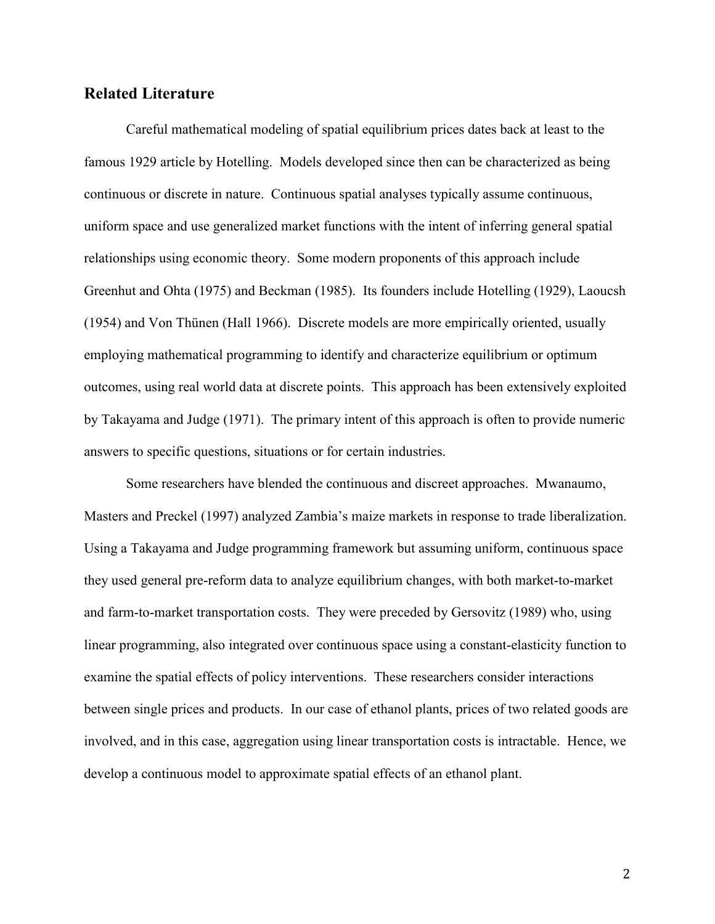#### **Related Literature**

Careful mathematical modeling of spatial equilibrium prices dates back at least to the famous 1929 article by Hotelling. Models developed since then can be characterized as being continuous or discrete in nature. Continuous spatial analyses typically assume continuous, uniform space and use generalized market functions with the intent of inferring general spatial relationships using economic theory. Some modern proponents of this approach include Greenhut and Ohta (1975) and Beckman (1985). Its founders include Hotelling (1929), Laoucsh (1954) and Von Thünen (Hall 1966). Discrete models are more empirically oriented, usually employing mathematical programming to identify and characterize equilibrium or optimum outcomes, using real world data at discrete points. This approach has been extensively exploited by Takayama and Judge (1971). The primary intent of this approach is often to provide numeric answers to specific questions, situations or for certain industries.

Some researchers have blended the continuous and discreet approaches. Mwanaumo, Masters and Preckel (1997) analyzed Zambia's maize markets in response to trade liberalization. Using a Takayama and Judge programming framework but assuming uniform, continuous space they used general pre-reform data to analyze equilibrium changes, with both market-to-market and farm-to-market transportation costs. They were preceded by Gersovitz (1989) who, using linear programming, also integrated over continuous space using a constant-elasticity function to examine the spatial effects of policy interventions. These researchers consider interactions between single prices and products. In our case of ethanol plants, prices of two related goods are involved, and in this case, aggregation using linear transportation costs is intractable. Hence, we develop a continuous model to approximate spatial effects of an ethanol plant.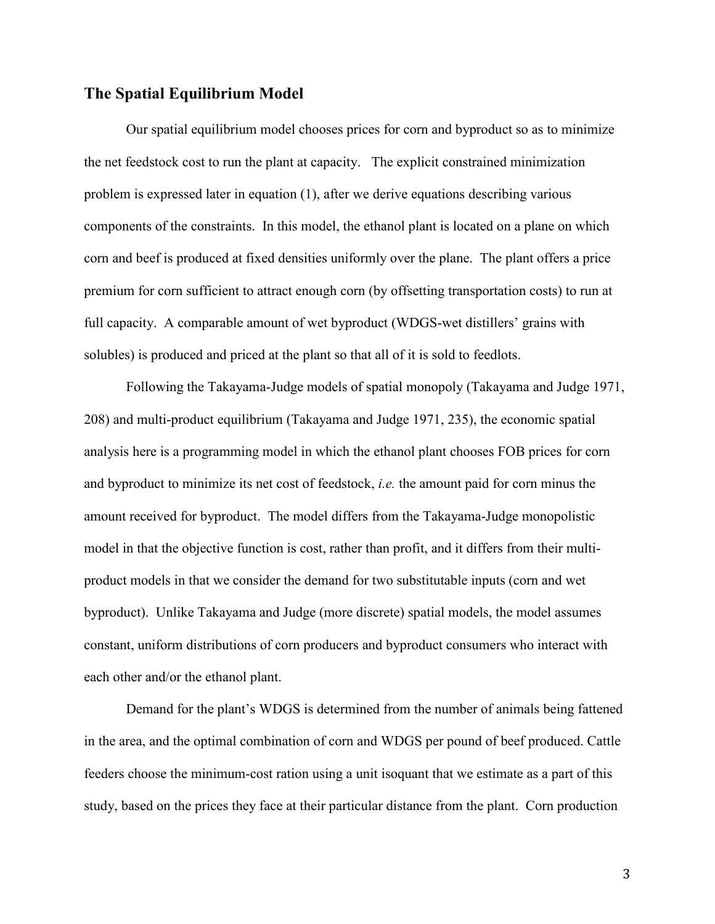#### **The Spatial Equilibrium Model**

Our spatial equilibrium model chooses prices for corn and byproduct so as to minimize the net feedstock cost to run the plant at capacity. The explicit constrained minimization problem is expressed later in equation (1), after we derive equations describing various components of the constraints. In this model, the ethanol plant is located on a plane on which corn and beef is produced at fixed densities uniformly over the plane. The plant offers a price premium for corn sufficient to attract enough corn (by offsetting transportation costs) to run at full capacity. A comparable amount of wet byproduct (WDGS-wet distillers' grains with solubles) is produced and priced at the plant so that all of it is sold to feedlots.

Following the Takayama-Judge models of spatial monopoly (Takayama and Judge 1971, 208) and multi-product equilibrium (Takayama and Judge 1971, 235), the economic spatial analysis here is a programming model in which the ethanol plant chooses FOB prices for corn and byproduct to minimize its net cost of feedstock, *i.e.* the amount paid for corn minus the amount received for byproduct. The model differs from the Takayama-Judge monopolistic model in that the objective function is cost, rather than profit, and it differs from their multiproduct models in that we consider the demand for two substitutable inputs (corn and wet byproduct). Unlike Takayama and Judge (more discrete) spatial models, the model assumes constant, uniform distributions of corn producers and byproduct consumers who interact with each other and/or the ethanol plant.

Demand for the plant's WDGS is determined from the number of animals being fattened in the area, and the optimal combination of corn and WDGS per pound of beef produced. Cattle feeders choose the minimum-cost ration using a unit isoquant that we estimate as a part of this study, based on the prices they face at their particular distance from the plant. Corn production

3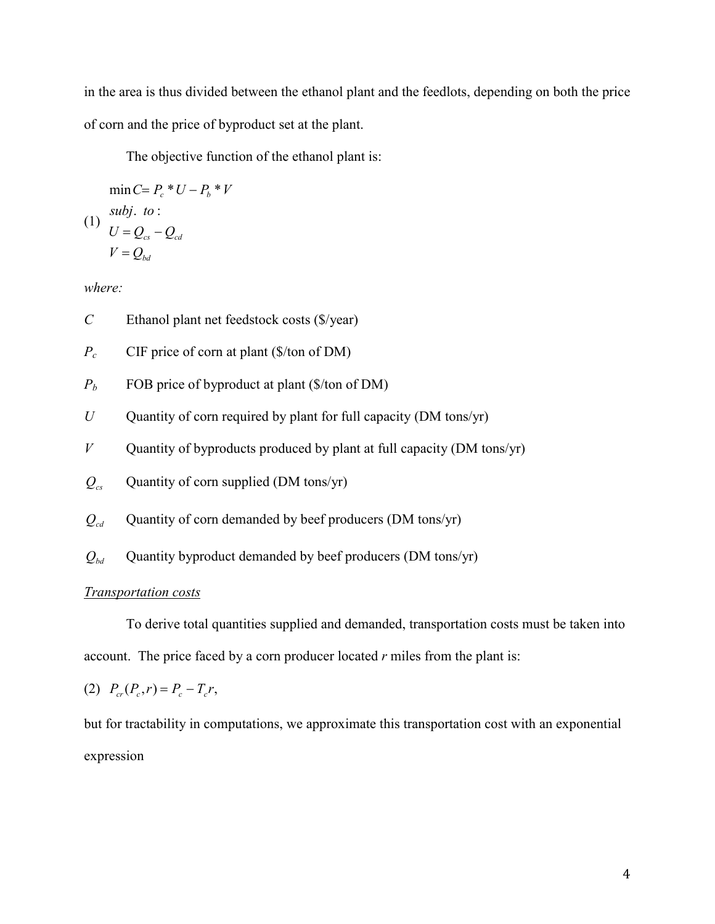in the area is thus divided between the ethanol plant and the feedlots, depending on both the price of corn and the price of byproduct set at the plant.

The objective function of the ethanol plant is:

$$
\min C = P_c * U - P_b * V
$$
  
(1) *subj. to :*  

$$
U = Q_{cs} - Q_{cd}
$$
  

$$
V = Q_{bd}
$$

*where:*

- *C* Ethanol plant net feedstock costs (\$/year)
- *Pc* CIF price of corn at plant (\$/ton of DM)
- $P_b$  FOB price of byproduct at plant (\$/ton of DM)
- *U* Quantity of corn required by plant for full capacity (DM tons/yr)
- *V* Quantity of byproducts produced by plant at full capacity (DM tons/yr)
- $Q_{cs}$  Quantity of corn supplied (DM tons/yr)
- $Q_{cd}$  Quantity of corn demanded by beef producers (DM tons/yr)
- $Q_{bd}$  Quantity byproduct demanded by beef producers (DM tons/yr)

#### *Transportation costs*

 To derive total quantities supplied and demanded, transportation costs must be taken into account. The price faced by a corn producer located *r* miles from the plant is:

(2) 
$$
P_{cr}(P_c, r) = P_c - T_c r
$$
,

but for tractability in computations, we approximate this transportation cost with an exponential expression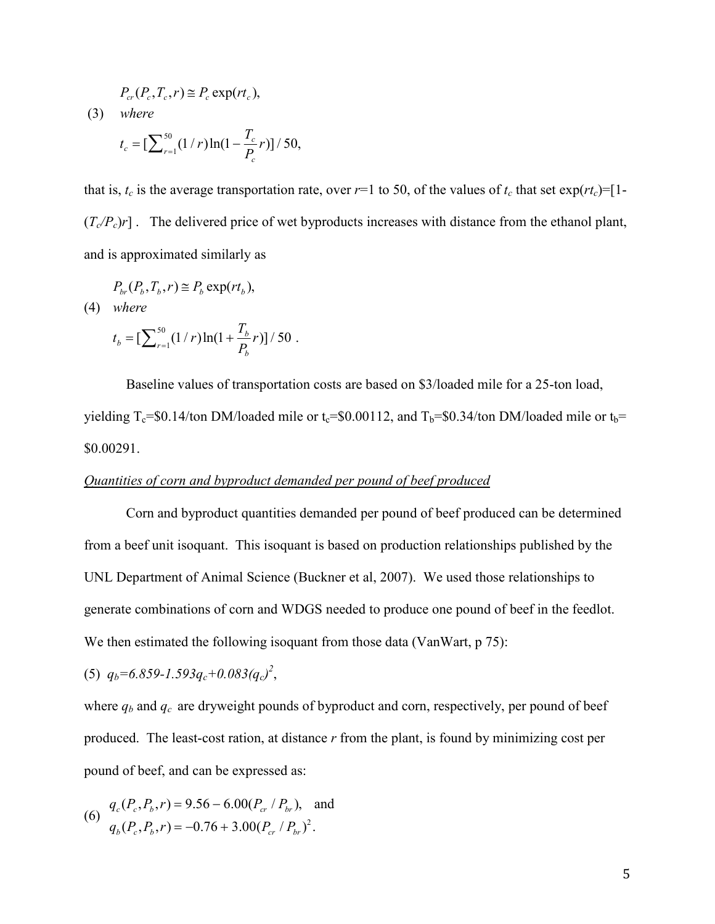$$
P_{cr}(P_c, T_c, r) \cong P_c \exp(rt_c),
$$

 (3) *where*

$$
t_c = \left[\sum_{r=1}^{50} (1/r) \ln(1 - \frac{T_c}{P_c}r)\right] / 50,
$$

that is,  $t_c$  is the average transportation rate, over  $r=1$  to 50, of the values of  $t_c$  that set  $\exp(rt_c)=[1-\frac{1}{2}]$  $(T_c/P_c)r$ ]. The delivered price of wet byproducts increases with distance from the ethanol plant, and is approximated similarly as

$$
P_{br}(P_b, T_b, r) \cong P_b \exp(rt_b),
$$

(4) *where*

$$
t_b = \left[\sum_{r=1}^{50} (1/r) \ln(1 + \frac{I_b}{P_b}r)\right] / 50.
$$

 $\mathbf{r}$ 

 Baseline values of transportation costs are based on \$3/loaded mile for a 25-ton load, yielding T<sub>c</sub>=\$0.14/ton DM/loaded mile or t<sub>c</sub>=\$0.00112, and T<sub>b</sub>=\$0.34/ton DM/loaded mile or t<sub>b</sub>= \$0.00291.

#### *Quantities of corn and byproduct demanded per pound of beef produced*

Corn and byproduct quantities demanded per pound of beef produced can be determined from a beef unit isoquant. This isoquant is based on production relationships published by the UNL Department of Animal Science (Buckner et al, 2007). We used those relationships to generate combinations of corn and WDGS needed to produce one pound of beef in the feedlot. We then estimated the following isoquant from those data (VanWart, p 75):

(5)  $q_b = 6.859 - 1.593q_c + 0.083(q_c)^2$ ,

where  $q_b$  and  $q_c$  are dryweight pounds of byproduct and corn, respectively, per pound of beef produced. The least-cost ration, at distance *r* from the plant, is found by minimizing cost per pound of beef, and can be expressed as:

(6) 
$$
q_c(P_c, P_b, r) = 9.56 - 6.00(P_{cr} / P_{br}),
$$
 and  
\n $q_b(P_c, P_b, r) = -0.76 + 3.00(P_{cr} / P_{br})^2.$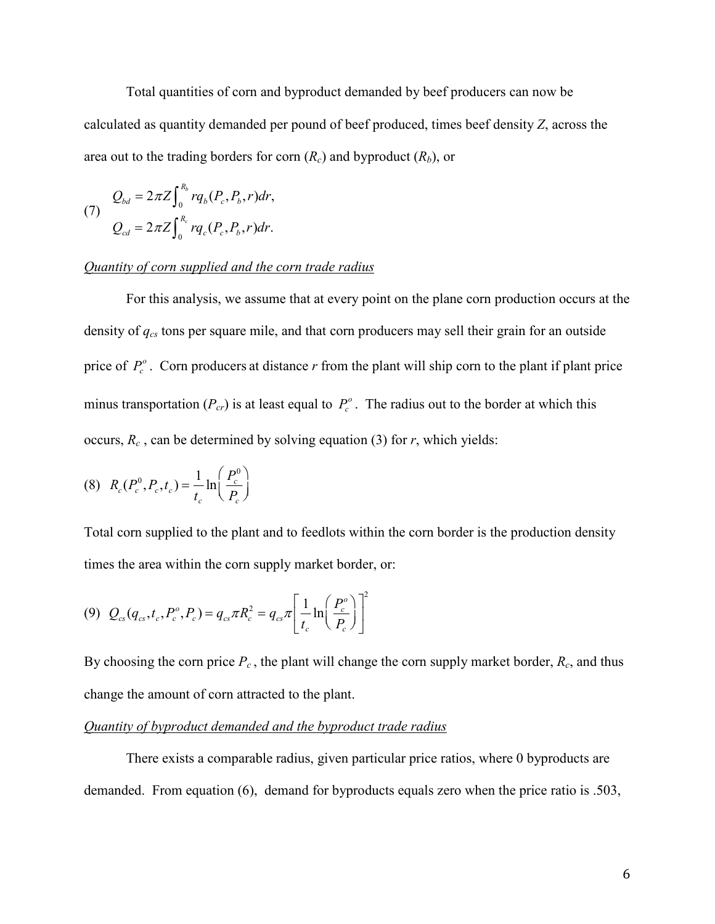Total quantities of corn and byproduct demanded by beef producers can now be calculated as quantity demanded per pound of beef produced, times beef density *Z*, across the area out to the trading borders for corn  $(R_c)$  and byproduct  $(R_b)$ , or

(7) 
$$
Q_{bd} = 2\pi Z \int_0^{R_b} r q_b(P_c, P_b, r) dr,
$$

$$
Q_{cd} = 2\pi Z \int_0^{R_c} r q_c(P_c, P_b, r) dr.
$$

#### *Quantity of corn supplied and the corn trade radius*

 For this analysis, we assume that at every point on the plane corn production occurs at the density of *qcs* tons per square mile, and that corn producers may sell their grain for an outside price of  $P_c^o$ . Corn producers at distance *r* from the plant will ship corn to the plant if plant price minus transportation  $(P_{cr})$  is at least equal to  $P_c^o$ . The radius out to the border at which this occurs,  $R_c$ , can be determined by solving equation (3) for  $r$ , which yields:

(8) 
$$
R_c(P_c^0, P_c, t_c) = \frac{1}{t_c} \ln\left(\frac{P_c^0}{P_c}\right)
$$

Total corn supplied to the plant and to feedlots within the corn border is the production density times the area within the corn supply market border, or:

$$
(9) \ \ Q_{cs}(q_{cs},t_c,P_c^o,P_c) = q_{cs}\pi R_c^2 = q_{cs}\pi \left[\frac{1}{t_c}\ln\left(\frac{P_c^o}{P_c}\right)\right]^2
$$

By choosing the corn price  $P_c$ , the plant will change the corn supply market border,  $R_c$ , and thus change the amount of corn attracted to the plant.

#### *Quantity of byproduct demanded and the byproduct trade radius*

There exists a comparable radius, given particular price ratios, where 0 byproducts are demanded. From equation (6), demand for byproducts equals zero when the price ratio is .503,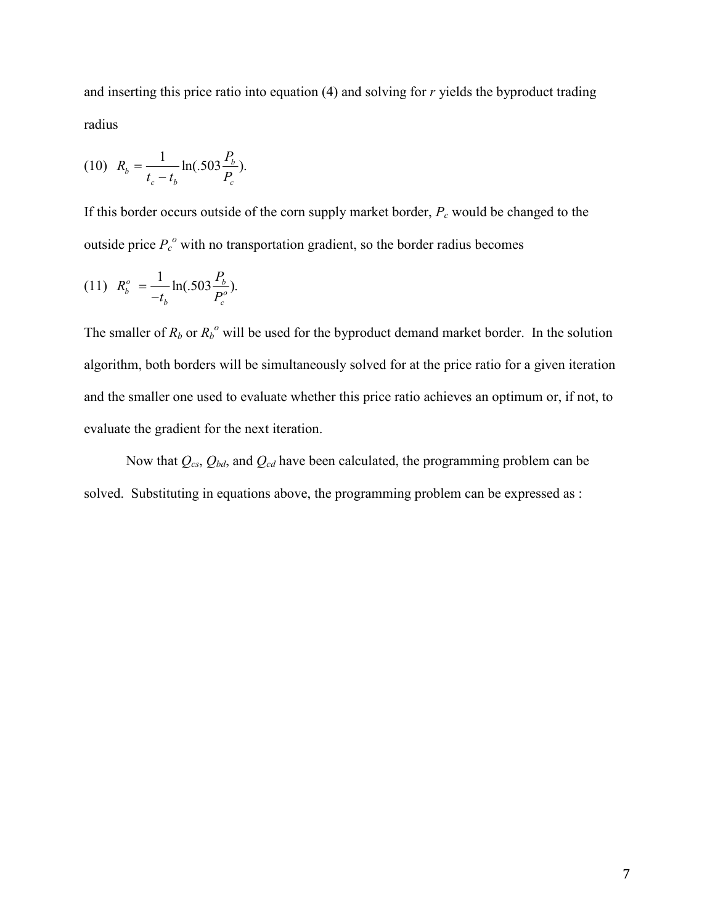and inserting this price ratio into equation (4) and solving for *r* yields the byproduct trading radius

(10) 
$$
R_b = \frac{1}{t_c - t_b} \ln(.503 \frac{P_b}{P_c}).
$$

If this border occurs outside of the corn supply market border, *Pc* would be changed to the outside price  $P_c^o$  with no transportation gradient, so the border radius becomes

(11) 
$$
R_b^o = \frac{1}{-t_b} \ln(.503 \frac{P_b}{P_c^o}).
$$

The smaller of  $R_b$  or  $R_b^o$  will be used for the byproduct demand market border. In the solution algorithm, both borders will be simultaneously solved for at the price ratio for a given iteration and the smaller one used to evaluate whether this price ratio achieves an optimum or, if not, to evaluate the gradient for the next iteration.

Now that *Qcs*, *Qbd*, and *Qcd* have been calculated, the programming problem can be solved. Substituting in equations above, the programming problem can be expressed as :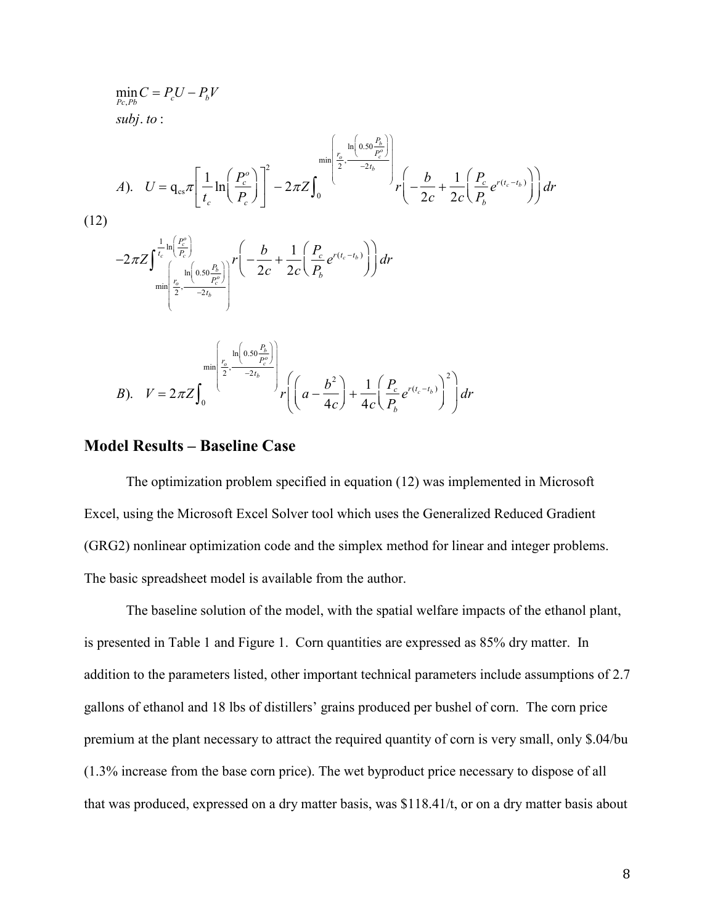$$
\min_{P_c, P_b} C = P_c U - P_b V
$$
\n
$$
subj. to:
$$
\n
$$
d). \quad U = q_{cs} \pi \left[ \frac{1}{t_c} \ln \left( \frac{P_c^o}{P_c} \right) \right]^2 - 2\pi Z \int_0^{\min \left[ \frac{t_c}{2}, \frac{\ln \left( 0.50 \frac{P_b}{P_c} \right)}{-2t_b} \right]} r \left( -\frac{b}{2c} + \frac{1}{2c} \left( \frac{P_c}{P_b} e^{r(t_c - t_b)} \right) \right) dr
$$
\n(12)\n
$$
-2\pi Z \int_{\min \left[ \frac{t_c}{2}, \frac{\ln \left( 0.50 \frac{P_b}{P_c} \right)}{-2t_b} \right]} r \left( -\frac{b}{2c} + \frac{1}{2c} \left( \frac{P_c}{P_b} e^{r(t_c - t_b)} \right) \right) dr
$$
\n
$$
\min \left[ \frac{t_c}{2}, \frac{\ln \left( 0.50 \frac{P_b}{P_c} \right)}{-2t_b} \right] r \left( \left( a - \frac{b^2}{4c} \right) + \frac{1}{4c} \left( \frac{P_c}{P_b} e^{r(t_c - t_b)} \right)^2 \right) dr
$$
\n
$$
B). \quad V = 2\pi Z \int_0^{\min \left[ \frac{t_c}{2}, \frac{\ln \left( 0.50 \frac{P_b}{P_c} \right)}{-2t_b} \right]} r \left( \left( a - \frac{b^2}{4c} \right) + \frac{1}{4c} \left( \frac{P_c}{P_b} e^{r(t_c - t_b)} \right)^2 \right) dr
$$

#### **Model Results – Baseline Case**

 The optimization problem specified in equation (12) was implemented in Microsoft Excel, using the Microsoft Excel Solver tool which uses the Generalized Reduced Gradient (GRG2) nonlinear optimization code and the simplex method for linear and integer problems. The basic spreadsheet model is available from the author.

 The baseline solution of the model, with the spatial welfare impacts of the ethanol plant, is presented in Table 1 and Figure 1. Corn quantities are expressed as 85% dry matter. In addition to the parameters listed, other important technical parameters include assumptions of 2.7 gallons of ethanol and 18 lbs of distillers' grains produced per bushel of corn. The corn price premium at the plant necessary to attract the required quantity of corn is very small, only \$.04/bu (1.3% increase from the base corn price). The wet byproduct price necessary to dispose of all that was produced, expressed on a dry matter basis, was \$118.41/t, or on a dry matter basis about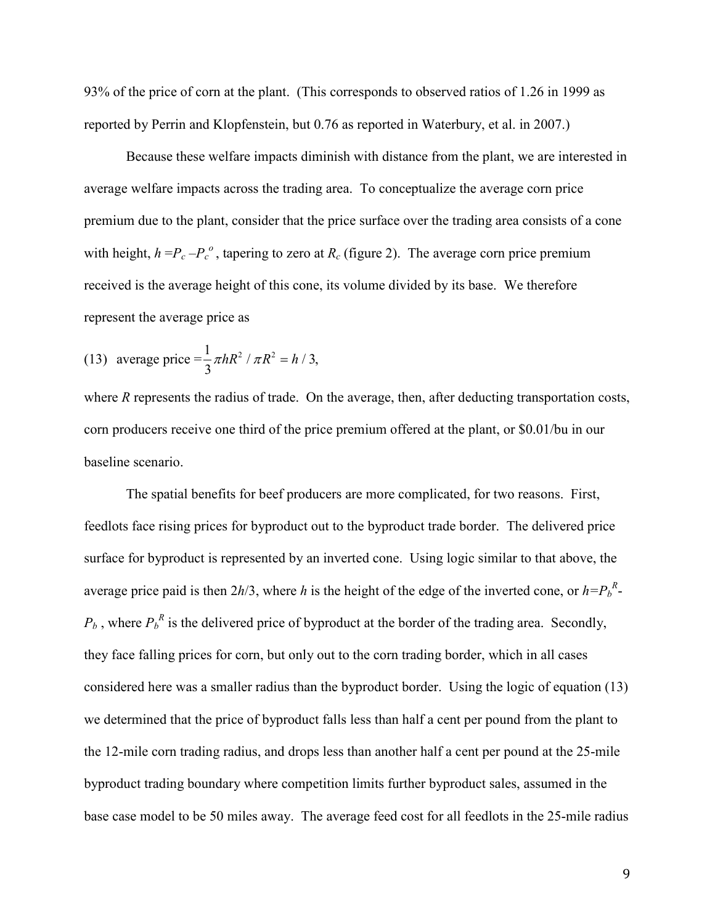93% of the price of corn at the plant. (This corresponds to observed ratios of 1.26 in 1999 as reported by Perrin and Klopfenstein, but 0.76 as reported in Waterbury, et al. in 2007.)

 Because these welfare impacts diminish with distance from the plant, we are interested in average welfare impacts across the trading area. To conceptualize the average corn price premium due to the plant, consider that the price surface over the trading area consists of a cone with height,  $h = P_c - P_c^o$ , tapering to zero at  $R_c$  (figure 2). The average corn price premium received is the average height of this cone, its volume divided by its base. We therefore represent the average price as

(13) average price 
$$
=\frac{1}{3}\pi hR^2 / \pi R^2 = h / 3
$$
,

where *R* represents the radius of trade. On the average, then, after deducting transportation costs, corn producers receive one third of the price premium offered at the plant, or \$0.01/bu in our baseline scenario.

 The spatial benefits for beef producers are more complicated, for two reasons. First, feedlots face rising prices for byproduct out to the byproduct trade border. The delivered price surface for byproduct is represented by an inverted cone. Using logic similar to that above, the average price paid is then  $2h/3$ , where *h* is the height of the edge of the inverted cone, or  $h = P_b^R$ - $P_b$ , where  $P_b^R$  is the delivered price of byproduct at the border of the trading area. Secondly, they face falling prices for corn, but only out to the corn trading border, which in all cases considered here was a smaller radius than the byproduct border. Using the logic of equation (13) we determined that the price of byproduct falls less than half a cent per pound from the plant to the 12-mile corn trading radius, and drops less than another half a cent per pound at the 25-mile byproduct trading boundary where competition limits further byproduct sales, assumed in the base case model to be 50 miles away. The average feed cost for all feedlots in the 25-mile radius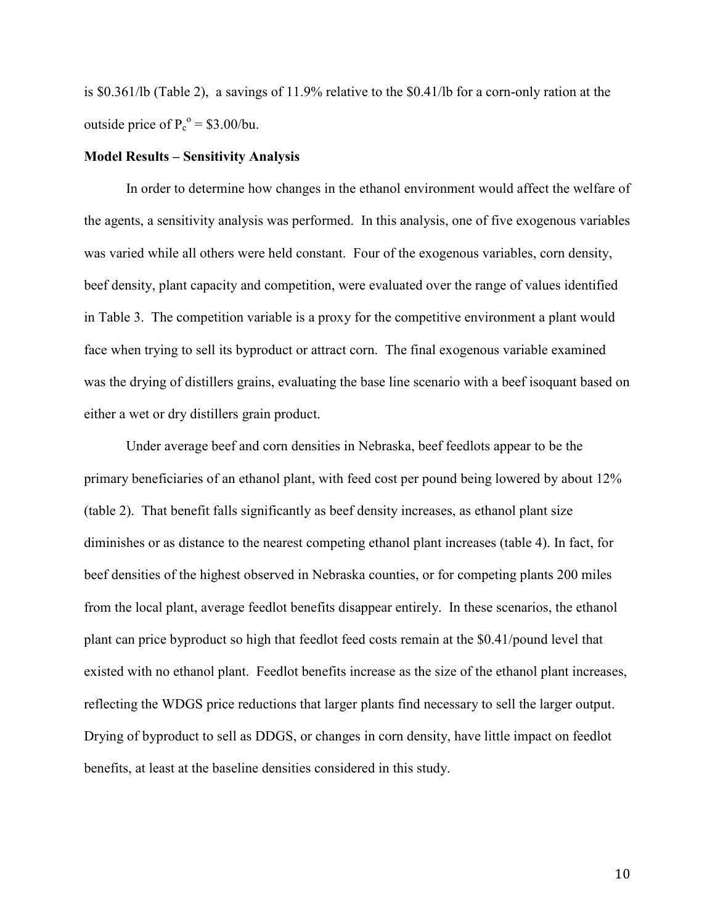is \$0.361/lb (Table 2), a savings of 11.9% relative to the \$0.41/lb for a corn-only ration at the outside price of  $P_c^o = $3.00/bu$ .

#### **Model Results – Sensitivity Analysis**

 In order to determine how changes in the ethanol environment would affect the welfare of the agents, a sensitivity analysis was performed. In this analysis, one of five exogenous variables was varied while all others were held constant. Four of the exogenous variables, corn density, beef density, plant capacity and competition, were evaluated over the range of values identified in Table 3. The competition variable is a proxy for the competitive environment a plant would face when trying to sell its byproduct or attract corn. The final exogenous variable examined was the drying of distillers grains, evaluating the base line scenario with a beef isoquant based on either a wet or dry distillers grain product.

Under average beef and corn densities in Nebraska, beef feedlots appear to be the primary beneficiaries of an ethanol plant, with feed cost per pound being lowered by about 12% (table 2). That benefit falls significantly as beef density increases, as ethanol plant size diminishes or as distance to the nearest competing ethanol plant increases (table 4). In fact, for beef densities of the highest observed in Nebraska counties, or for competing plants 200 miles from the local plant, average feedlot benefits disappear entirely. In these scenarios, the ethanol plant can price byproduct so high that feedlot feed costs remain at the \$0.41/pound level that existed with no ethanol plant. Feedlot benefits increase as the size of the ethanol plant increases, reflecting the WDGS price reductions that larger plants find necessary to sell the larger output. Drying of byproduct to sell as DDGS, or changes in corn density, have little impact on feedlot benefits, at least at the baseline densities considered in this study.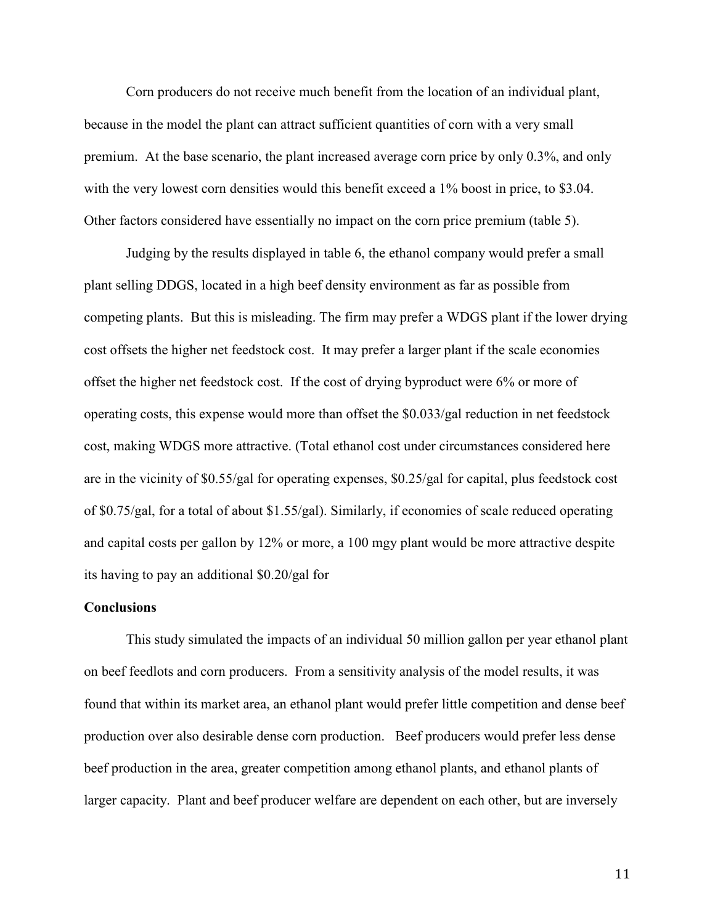Corn producers do not receive much benefit from the location of an individual plant, because in the model the plant can attract sufficient quantities of corn with a very small premium. At the base scenario, the plant increased average corn price by only 0.3%, and only with the very lowest corn densities would this benefit exceed a 1% boost in price, to \$3.04. Other factors considered have essentially no impact on the corn price premium (table 5).

Judging by the results displayed in table 6, the ethanol company would prefer a small plant selling DDGS, located in a high beef density environment as far as possible from competing plants. But this is misleading. The firm may prefer a WDGS plant if the lower drying cost offsets the higher net feedstock cost. It may prefer a larger plant if the scale economies offset the higher net feedstock cost. If the cost of drying byproduct were 6% or more of operating costs, this expense would more than offset the \$0.033/gal reduction in net feedstock cost, making WDGS more attractive. (Total ethanol cost under circumstances considered here are in the vicinity of \$0.55/gal for operating expenses, \$0.25/gal for capital, plus feedstock cost of \$0.75/gal, for a total of about \$1.55/gal). Similarly, if economies of scale reduced operating and capital costs per gallon by 12% or more, a 100 mgy plant would be more attractive despite its having to pay an additional \$0.20/gal for

#### **Conclusions**

This study simulated the impacts of an individual 50 million gallon per year ethanol plant on beef feedlots and corn producers. From a sensitivity analysis of the model results, it was found that within its market area, an ethanol plant would prefer little competition and dense beef production over also desirable dense corn production. Beef producers would prefer less dense beef production in the area, greater competition among ethanol plants, and ethanol plants of larger capacity. Plant and beef producer welfare are dependent on each other, but are inversely

11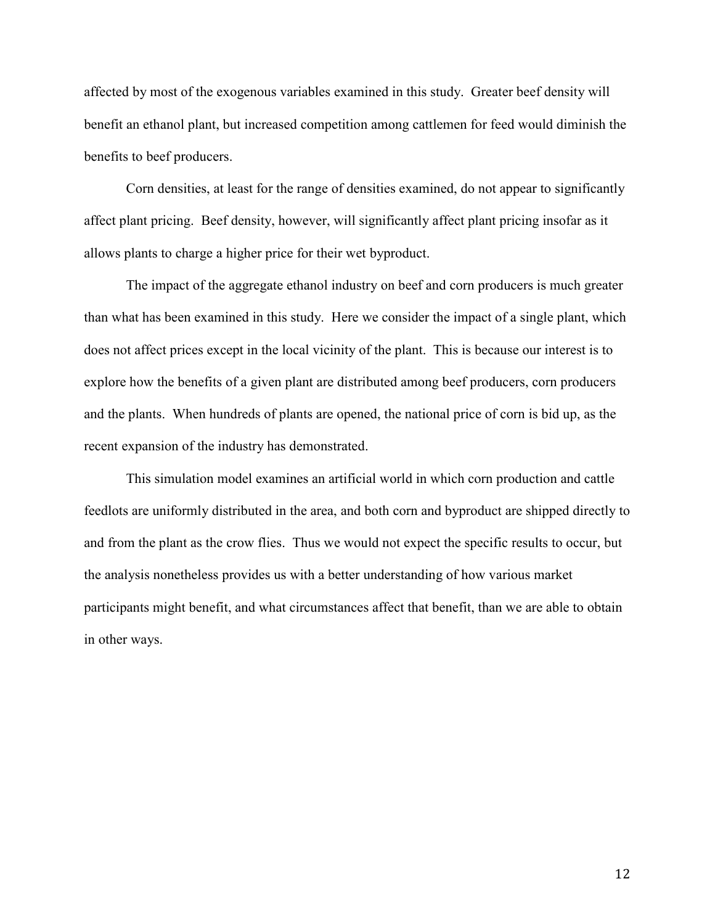affected by most of the exogenous variables examined in this study. Greater beef density will benefit an ethanol plant, but increased competition among cattlemen for feed would diminish the benefits to beef producers.

Corn densities, at least for the range of densities examined, do not appear to significantly affect plant pricing. Beef density, however, will significantly affect plant pricing insofar as it allows plants to charge a higher price for their wet byproduct.

The impact of the aggregate ethanol industry on beef and corn producers is much greater than what has been examined in this study. Here we consider the impact of a single plant, which does not affect prices except in the local vicinity of the plant. This is because our interest is to explore how the benefits of a given plant are distributed among beef producers, corn producers and the plants. When hundreds of plants are opened, the national price of corn is bid up, as the recent expansion of the industry has demonstrated.

This simulation model examines an artificial world in which corn production and cattle feedlots are uniformly distributed in the area, and both corn and byproduct are shipped directly to and from the plant as the crow flies. Thus we would not expect the specific results to occur, but the analysis nonetheless provides us with a better understanding of how various market participants might benefit, and what circumstances affect that benefit, than we are able to obtain in other ways.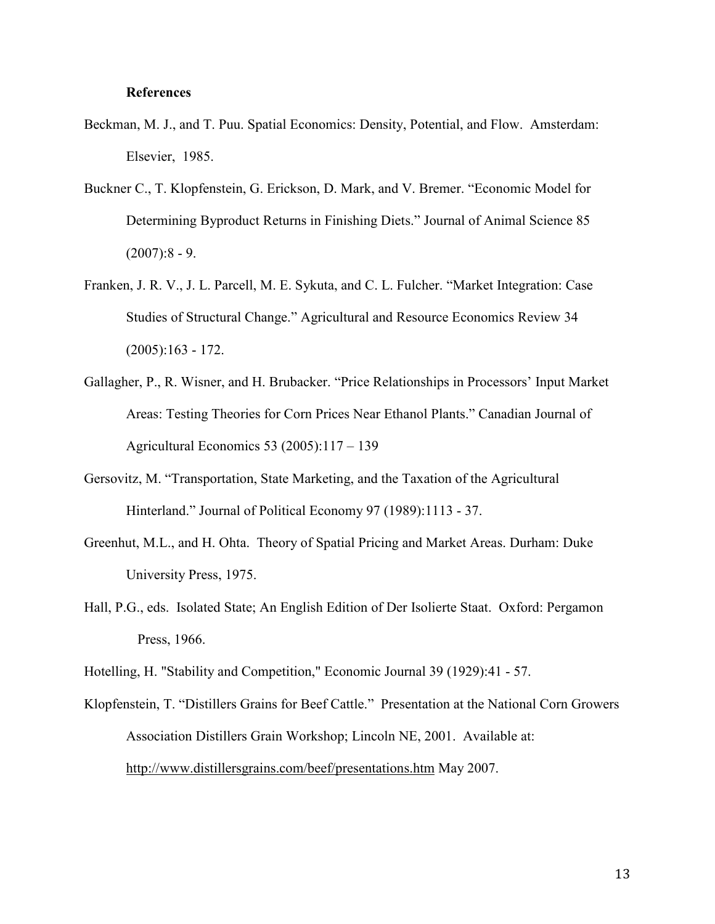#### **References**

- Beckman, M. J., and T. Puu. Spatial Economics: Density, Potential, and Flow. Amsterdam: Elsevier, 1985.
- Buckner C., T. Klopfenstein, G. Erickson, D. Mark, and V. Bremer. "Economic Model for Determining Byproduct Returns in Finishing Diets." Journal of Animal Science 85  $(2007):8 - 9.$
- Franken, J. R. V., J. L. Parcell, M. E. Sykuta, and C. L. Fulcher. "Market Integration: Case Studies of Structural Change." Agricultural and Resource Economics Review 34  $(2005):163 - 172.$
- Gallagher, P., R. Wisner, and H. Brubacker. "Price Relationships in Processors' Input Market Areas: Testing Theories for Corn Prices Near Ethanol Plants." Canadian Journal of Agricultural Economics 53 (2005):117 – 139
- Gersovitz, M. "Transportation, State Marketing, and the Taxation of the Agricultural Hinterland." Journal of Political Economy 97 (1989):1113 - 37.
- Greenhut, M.L., and H. Ohta. Theory of Spatial Pricing and Market Areas. Durham: Duke University Press, 1975.
- Hall, P.G., eds. Isolated State; An English Edition of Der Isolierte Staat. Oxford: Pergamon Press, 1966.

Hotelling, H. "Stability and Competition," Economic Journal 39 (1929):41 - 57.

Klopfenstein, T. "Distillers Grains for Beef Cattle." Presentation at the National Corn Growers Association Distillers Grain Workshop; Lincoln NE, 2001. Available at: http://www.distillersgrains.com/beef/presentations.htm May 2007.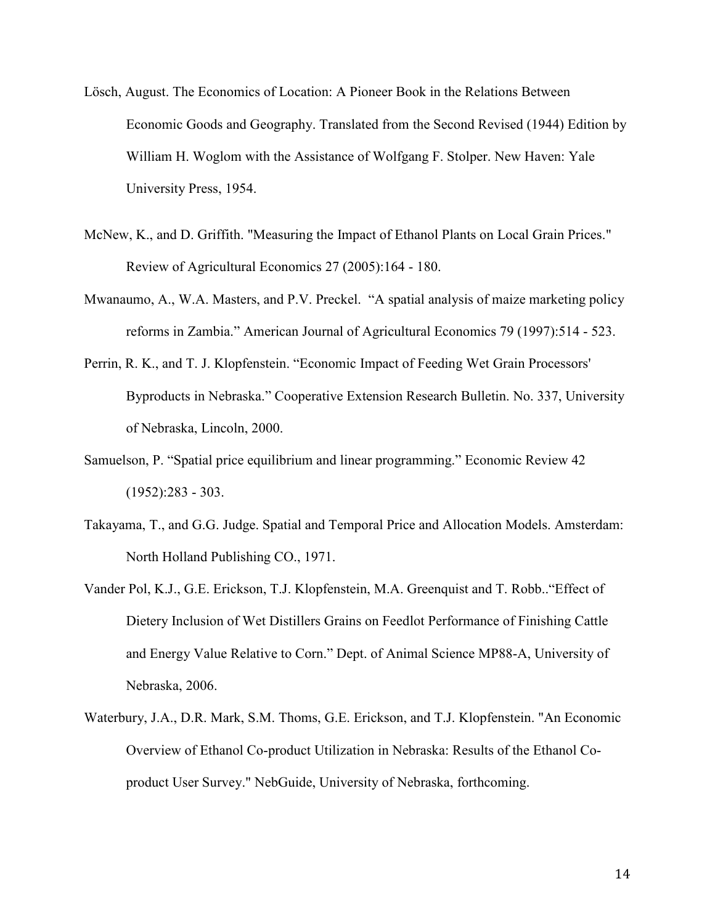- Lösch, August. The Economics of Location: A Pioneer Book in the Relations Between Economic Goods and Geography. Translated from the Second Revised (1944) Edition by William H. Woglom with the Assistance of Wolfgang F. Stolper. New Haven: Yale University Press, 1954.
- McNew, K., and D. Griffith. "Measuring the Impact of Ethanol Plants on Local Grain Prices." Review of Agricultural Economics 27 (2005):164 - 180.
- Mwanaumo, A., W.A. Masters, and P.V. Preckel. "A spatial analysis of maize marketing policy reforms in Zambia." American Journal of Agricultural Economics 79 (1997):514 - 523.
- Perrin, R. K., and T. J. Klopfenstein. "Economic Impact of Feeding Wet Grain Processors' Byproducts in Nebraska." Cooperative Extension Research Bulletin. No. 337, University of Nebraska, Lincoln, 2000.
- Samuelson, P. "Spatial price equilibrium and linear programming." Economic Review 42  $(1952):283 - 303$ .
- Takayama, T., and G.G. Judge. Spatial and Temporal Price and Allocation Models. Amsterdam: North Holland Publishing CO., 1971.
- Vander Pol, K.J., G.E. Erickson, T.J. Klopfenstein, M.A. Greenquist and T. Robb.."Effect of Dietery Inclusion of Wet Distillers Grains on Feedlot Performance of Finishing Cattle and Energy Value Relative to Corn." Dept. of Animal Science MP88-A, University of Nebraska, 2006.
- Waterbury, J.A., D.R. Mark, S.M. Thoms, G.E. Erickson, and T.J. Klopfenstein. "An Economic Overview of Ethanol Co-product Utilization in Nebraska: Results of the Ethanol Coproduct User Survey." NebGuide, University of Nebraska, forthcoming.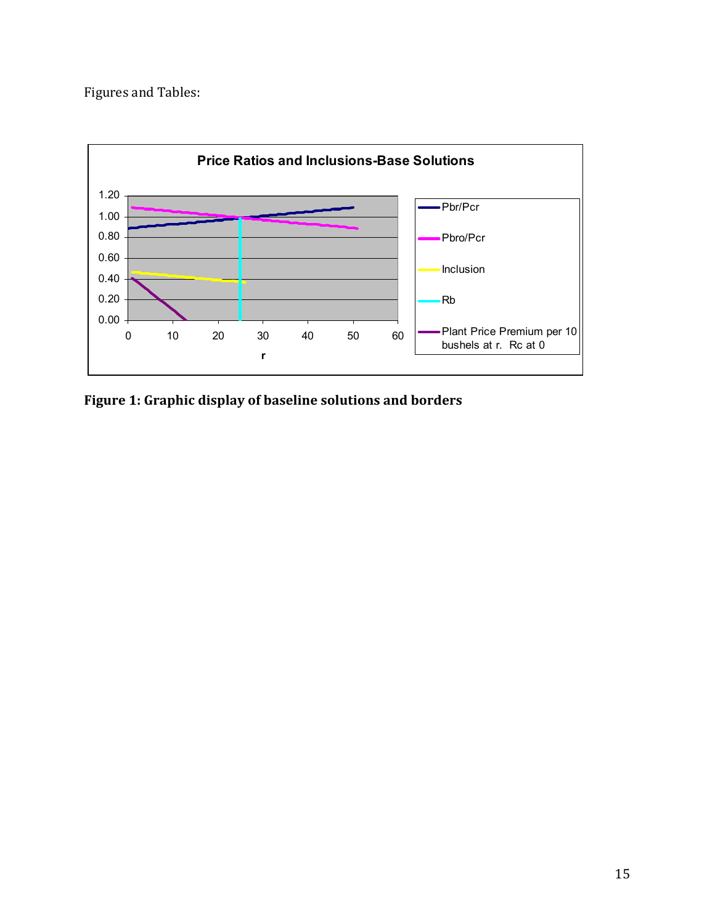Figures and Tables:



**Figure 1: Graphic display of baseline solutions and borders**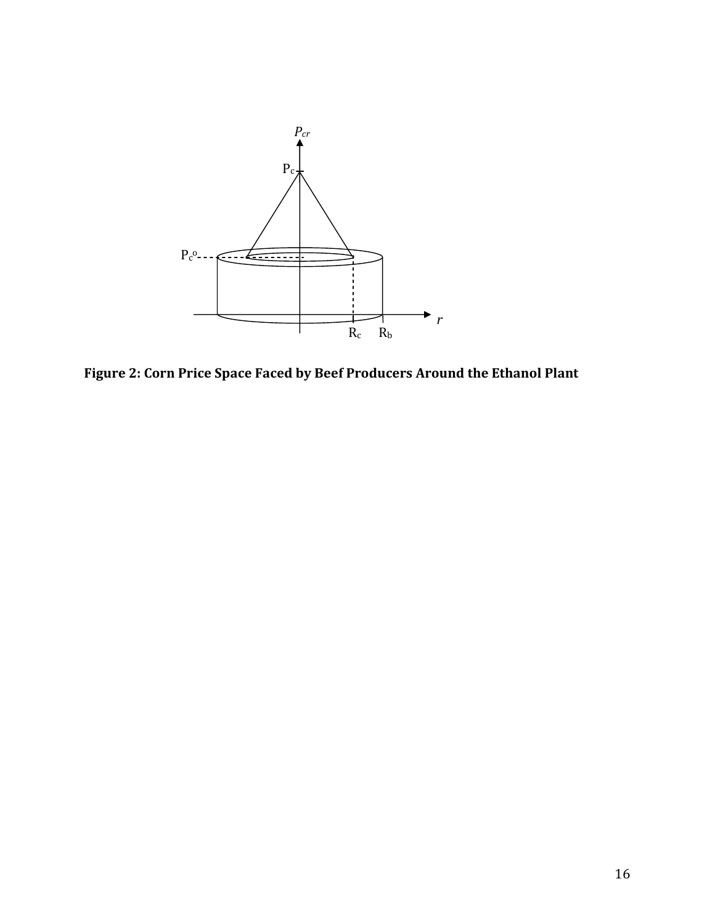

**Figure 2: Corn Price Space Faced by Beef Producers Around the Ethanol Plant**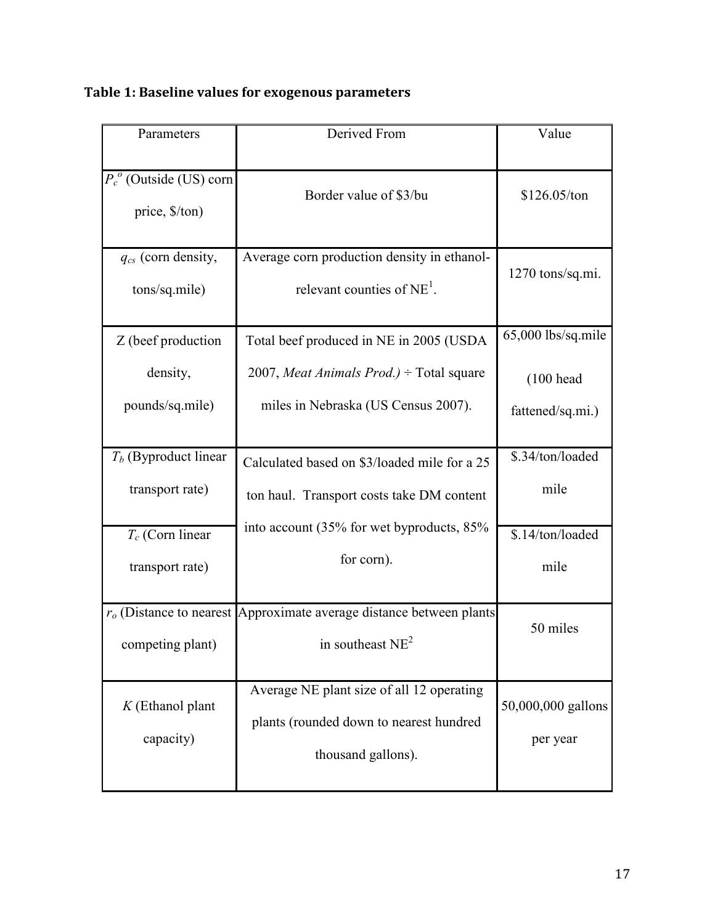| Parameters                                   | Derived From                                                                                               | Value                                    |
|----------------------------------------------|------------------------------------------------------------------------------------------------------------|------------------------------------------|
| $P_c^o$ (Outside (US) corn<br>price, \$/ton) | Border value of \$3/bu                                                                                     | \$126.05/ton                             |
| $q_{cs}$ (corn density,<br>tons/sq.mile)     | Average corn production density in ethanol-<br>relevant counties of $NE1$ .                                | 1270 tons/sq.mi.                         |
| Z (beef production                           | Total beef produced in NE in 2005 (USDA                                                                    | 65,000 lbs/sq.mile                       |
| density,<br>pounds/sq.mile)                  | 2007, Meat Animals $Prod.$ ) ÷ Total square<br>miles in Nebraska (US Census 2007).                         | $(100 \text{ head})$<br>fattened/sq.mi.) |
|                                              |                                                                                                            |                                          |
| $T_b$ (Byproduct linear                      | Calculated based on \$3/loaded mile for a 25                                                               | \$.34/ton/loaded                         |
| transport rate)                              | ton haul. Transport costs take DM content                                                                  | mile                                     |
| $T_c$ (Corn linear                           | into account (35% for wet byproducts, 85%                                                                  | \$.14/ton/loaded                         |
| transport rate)                              | for corn).                                                                                                 | mile                                     |
| competing plant)                             | $ro$ (Distance to nearest Approximate average distance between plants<br>in southeast $NE2$                | 50 miles                                 |
| $K$ (Ethanol plant<br>capacity)              | Average NE plant size of all 12 operating<br>plants (rounded down to nearest hundred<br>thousand gallons). | 50,000,000 gallons<br>per year           |

# **Table 1: Baseline values for exogenous parameters**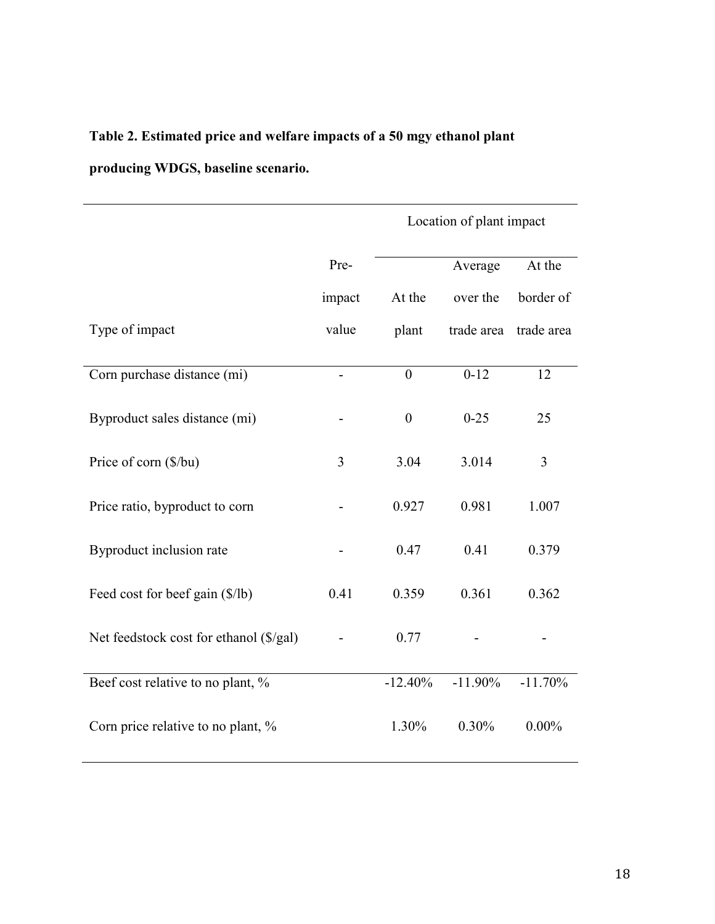### **Table 2. Estimated price and welfare impacts of a 50 mgy ethanol plant**

**producing WDGS, baseline scenario.** 

|                                         |                | Location of plant impact |            |            |
|-----------------------------------------|----------------|--------------------------|------------|------------|
|                                         | Pre-           |                          | Average    | At the     |
|                                         | impact         | At the                   | over the   | border of  |
| Type of impact                          | value          | plant                    | trade area | trade area |
| Corn purchase distance (mi)             | $\blacksquare$ | $\theta$                 | $0-12$     | 12         |
| Byproduct sales distance (mi)           |                | $\boldsymbol{0}$         | $0 - 25$   | 25         |
| Price of corn (\$/bu)                   | 3              | 3.04                     | 3.014      | 3          |
| Price ratio, byproduct to corn          |                | 0.927                    | 0.981      | 1.007      |
| Byproduct inclusion rate                |                | 0.47                     | 0.41       | 0.379      |
| Feed cost for beef gain (\$/lb)         | 0.41           | 0.359                    | 0.361      | 0.362      |
| Net feedstock cost for ethanol (\$/gal) |                | 0.77                     |            |            |
| Beef cost relative to no plant, %       |                | $-12.40%$                | $-11.90\%$ | $-11.70%$  |
| Corn price relative to no plant, %      |                | 1.30%                    | 0.30%      | $0.00\%$   |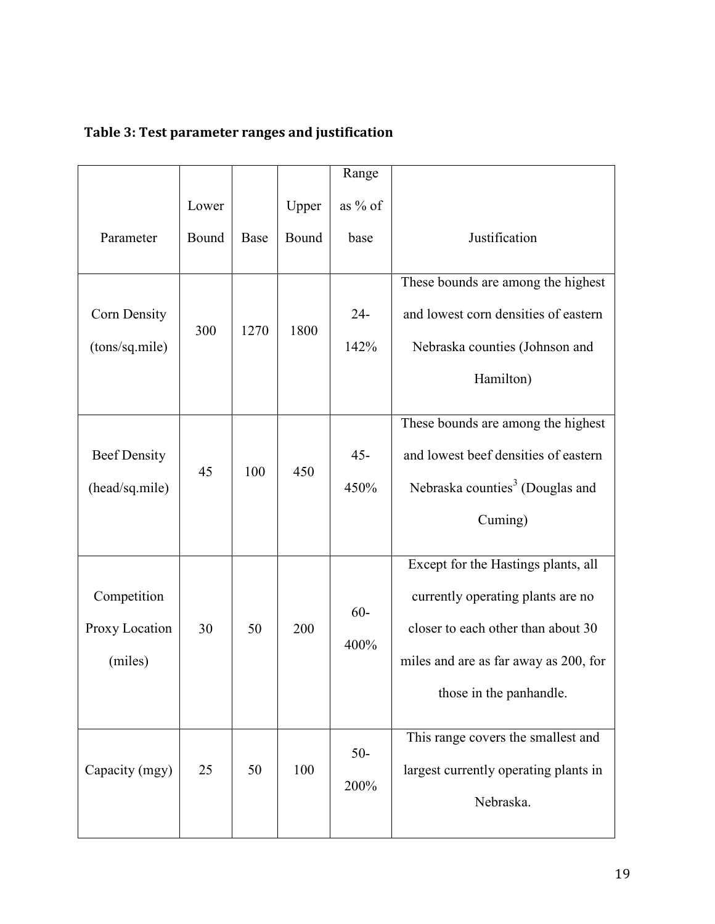|                                          |       |      |       | Range          |                                                                                                                                                                                    |
|------------------------------------------|-------|------|-------|----------------|------------------------------------------------------------------------------------------------------------------------------------------------------------------------------------|
|                                          | Lower |      | Upper | as $%$ of      |                                                                                                                                                                                    |
| Parameter                                | Bound | Base | Bound | base           | Justification                                                                                                                                                                      |
| Corn Density<br>(tons/sq.mile)           | 300   | 1270 | 1800  | $24 -$<br>142% | These bounds are among the highest<br>and lowest corn densities of eastern<br>Nebraska counties (Johnson and<br>Hamilton)                                                          |
| <b>Beef Density</b><br>(head/sq.mile)    | 45    | 100  | 450   | $45 -$<br>450% | These bounds are among the highest<br>and lowest beef densities of eastern<br>Nebraska counties <sup>3</sup> (Douglas and<br>Cuming)                                               |
| Competition<br>Proxy Location<br>(miles) | 30    | 50   | 200   | $60 -$<br>400% | Except for the Hastings plants, all<br>currently operating plants are no<br>closer to each other than about 30<br>miles and are as far away as 200, for<br>those in the panhandle. |
| Capacity (mgy)                           | 25    | 50   | 100   | $50-$<br>200%  | This range covers the smallest and<br>largest currently operating plants in<br>Nebraska.                                                                                           |

# **Table 3: Test parameter ranges and justification**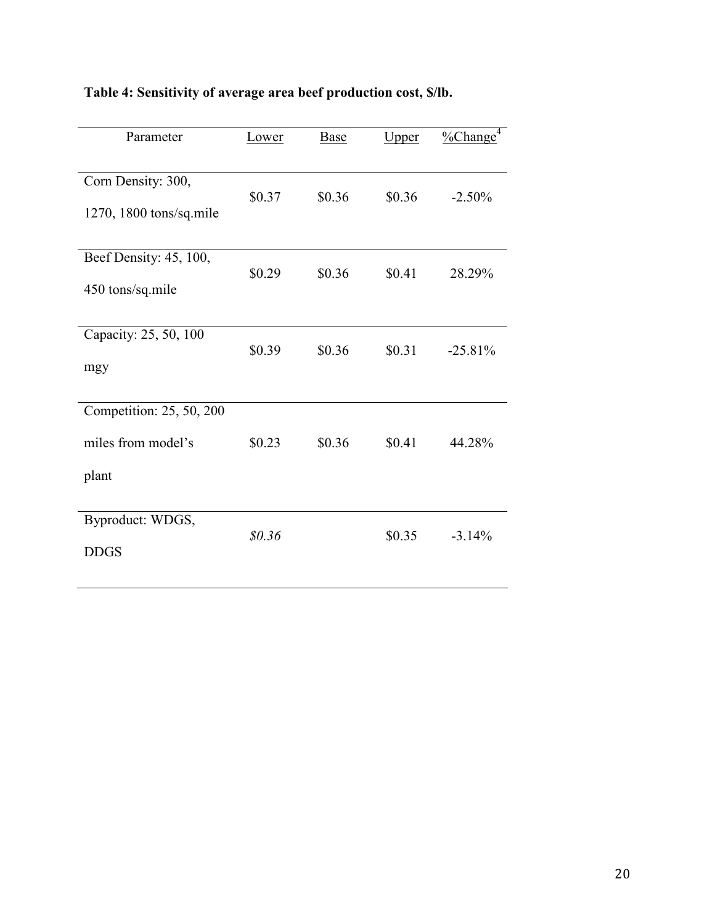| Lower  | Base                       | Upper                      | $\frac{9}{6}$ Change <sup>4</sup> |
|--------|----------------------------|----------------------------|-----------------------------------|
|        |                            |                            |                                   |
|        |                            |                            | $-2.50%$                          |
|        |                            |                            |                                   |
|        |                            |                            |                                   |
|        |                            |                            | 28.29%                            |
|        |                            |                            |                                   |
|        |                            |                            |                                   |
|        |                            |                            |                                   |
|        |                            |                            | $-25.81\%$                        |
|        |                            |                            |                                   |
|        |                            |                            |                                   |
| \$0.23 | \$0.36                     | \$0.41                     | 44.28%                            |
|        |                            |                            |                                   |
|        |                            |                            |                                   |
|        |                            |                            |                                   |
| \$0.36 |                            | \$0.35                     | $-3.14%$                          |
|        |                            |                            |                                   |
|        | \$0.37<br>\$0.29<br>\$0.39 | \$0.36<br>\$0.36<br>\$0.36 | \$0.36<br>\$0.41<br>\$0.31        |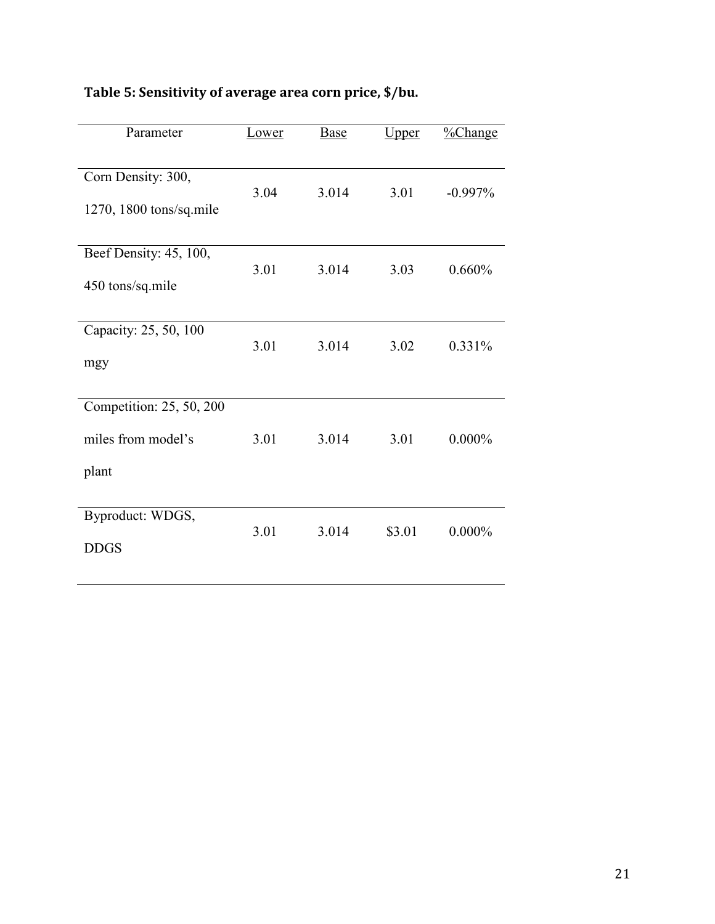| Table 5: Sensitivity of average area corn price, \$/bu. |  |  |  |  |
|---------------------------------------------------------|--|--|--|--|
|---------------------------------------------------------|--|--|--|--|

| Parameter                | Lower | Base  | <u>Upper</u> | $\frac{9}{6}$ Change |
|--------------------------|-------|-------|--------------|----------------------|
|                          |       |       |              |                      |
| Corn Density: 300,       |       |       |              |                      |
| 1270, 1800 tons/sq.mile  | 3.04  | 3.014 | 3.01         | $-0.997%$            |
|                          |       |       |              |                      |
| Beef Density: 45, 100,   |       |       |              |                      |
| 450 tons/sq.mile         | 3.01  | 3.014 | 3.03         | 0.660%               |
|                          |       |       |              |                      |
| Capacity: 25, 50, 100    |       |       |              |                      |
| mgy                      | 3.01  | 3.014 | 3.02         | 0.331%               |
|                          |       |       |              |                      |
| Competition: 25, 50, 200 |       |       |              |                      |
| miles from model's       | 3.01  | 3.014 | 3.01         | $0.000\%$            |
| plant                    |       |       |              |                      |
|                          |       |       |              |                      |
| Byproduct: WDGS,         | 3.01  | 3.014 | \$3.01       | $0.000\%$            |
| <b>DDGS</b>              |       |       |              |                      |
|                          |       |       |              |                      |